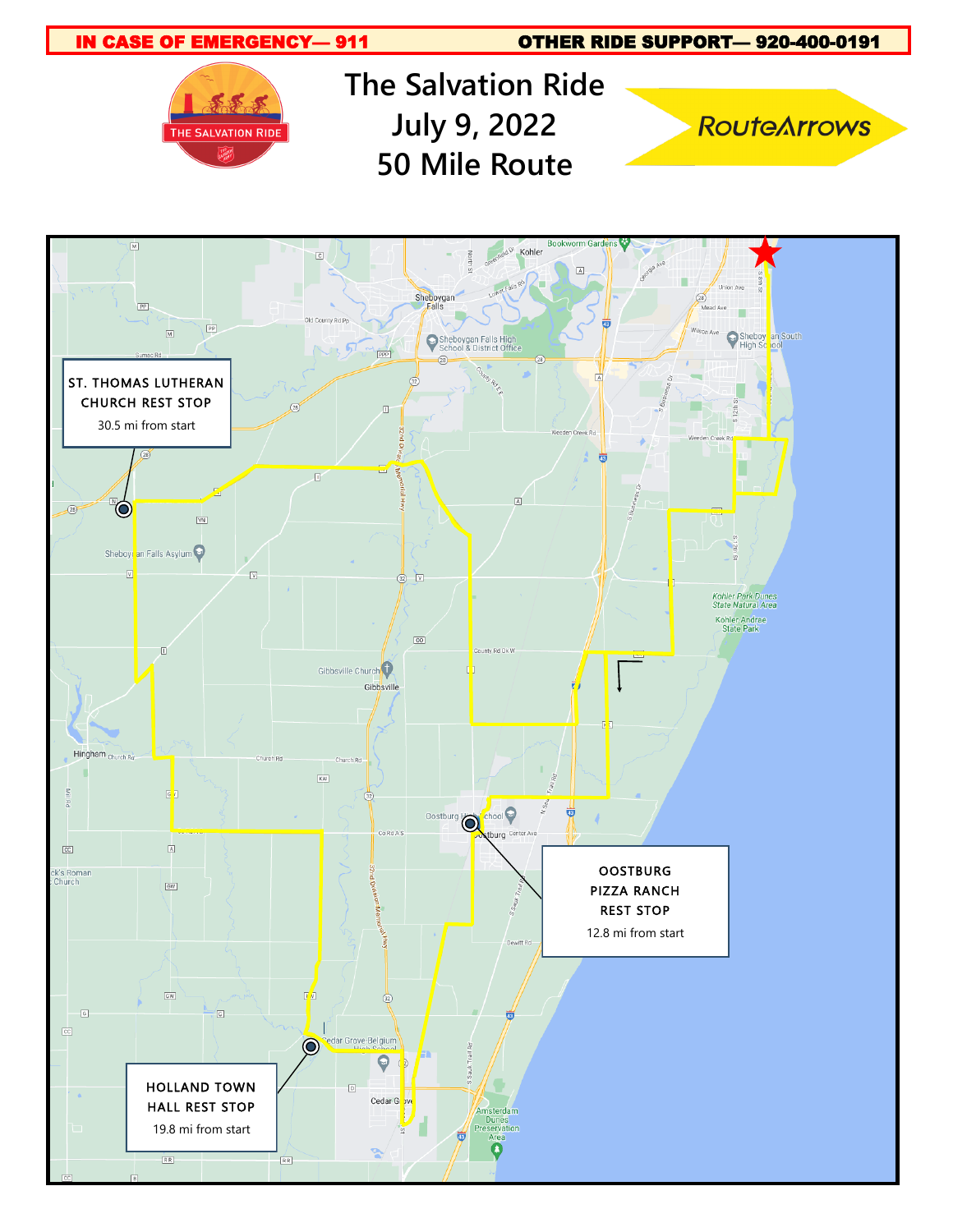